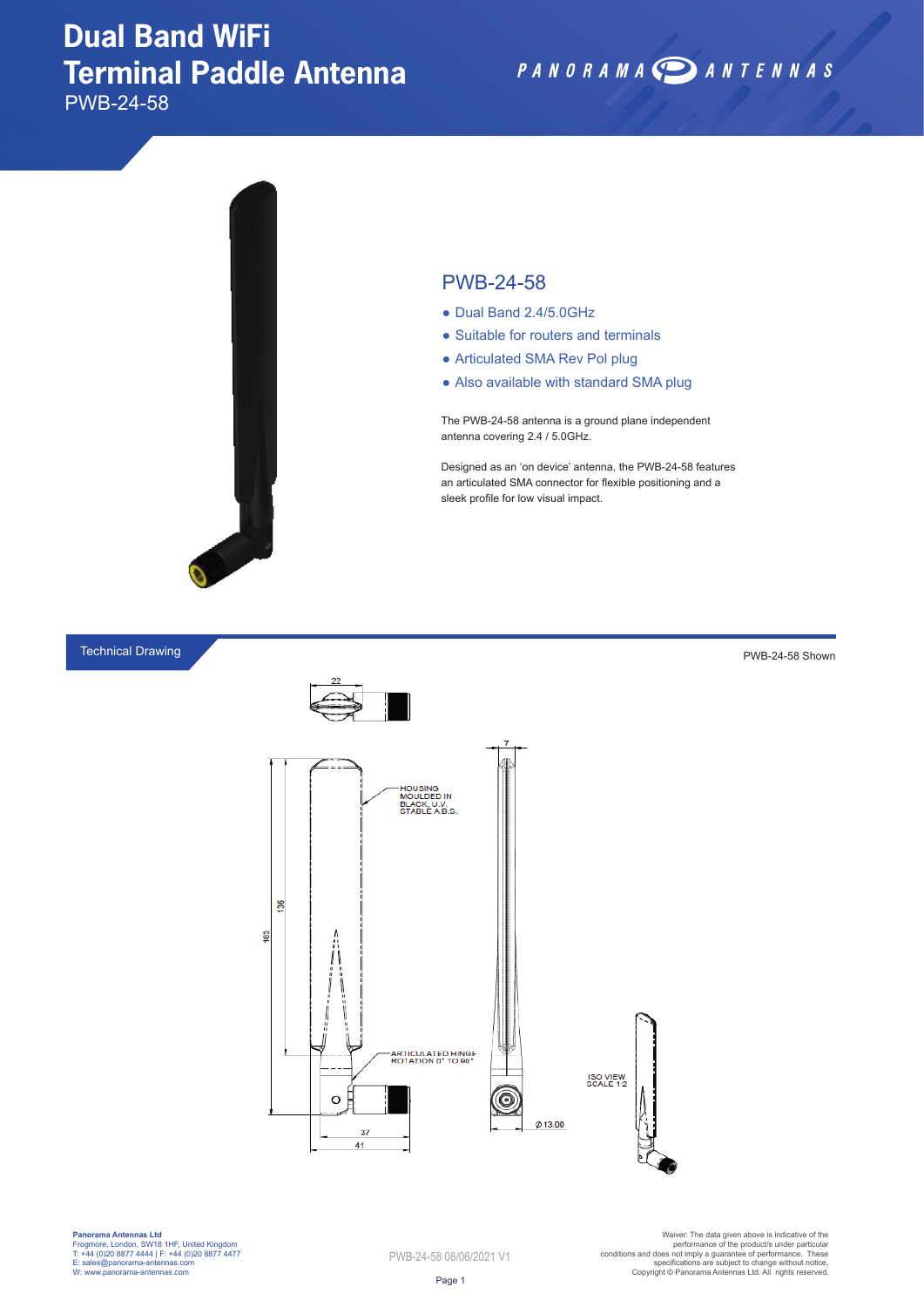## **Dual Band WiFi Terminal Paddle Antenna**

PWB-24-58



### PWB-24-58

- Dual Band 2.4/5.0GHz
- Suitable for routers and terminals
- Articulated SMA Rev Pol plug
- Also available with standard SMA plug

The PWB-24-58 antenna is a ground plane independent antenna covering 2.4 / 5.0GHz.

Designed as an 'on device' antenna, the PWB-24-58 features an articulated SMA connector for flexible positioning and a sleek profile for low visual impact.

PANORAMA DANTENNAS

#### Technical Drawing



**Panorama Antennas Ltd** Frogmore, London, SW18 1HF, United Kingdom T: +44 (0)20 8877 4444 | F: +44 (0)20 8877 4477 E: sales@panorama-antennas.com W: www.panorama-antennas.com

PWB-24-58 08/06/2021 V1

Warer: The data given above is indicative of the<br>performance of the product/s under particular<br>conditions and does not imply a guarantee of performance. These<br>specifications are subject to change without notice.<br>Copyright

PWB-24-58 Shown